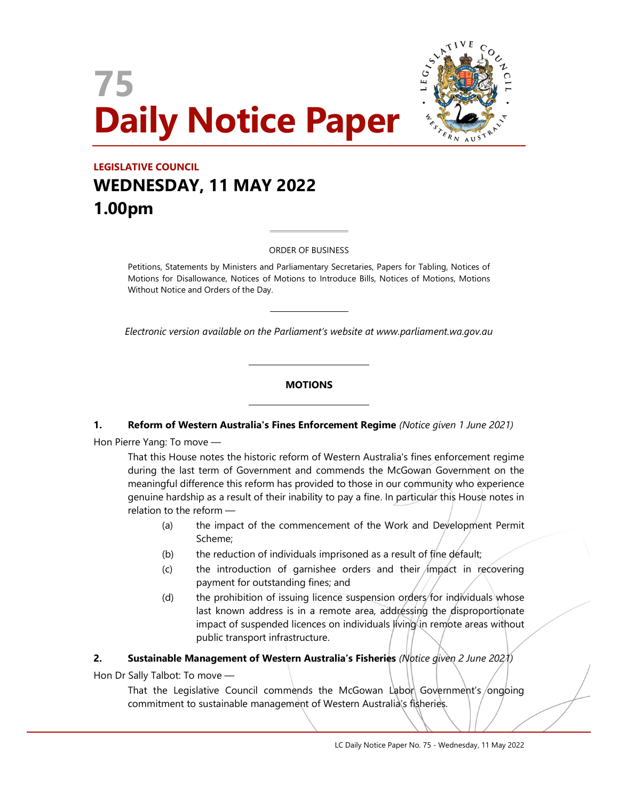



# LEGISLATIVE COUNCIL WEDNESDAY, 11 MAY 2022 1.00pm

#### ORDER OF BUSINESS

 $\overline{a}$ 

 $\overline{\phantom{a}}$ 

L

L

Petitions, Statements by Ministers and Parliamentary Secretaries, Papers for Tabling, Notices of Motions for Disallowance, Notices of Motions to Introduce Bills, Notices of Motions, Motions Without Notice and Orders of the Day.

Electronic version available on the Parliament's website at www.parliament.wa.gov.au

#### **MOTIONS**

#### 1. Reform of Western Australia's Fines Enforcement Regime (Notice given 1 June 2021)

Hon Pierre Yang: To move —

That this House notes the historic reform of Western Australia's fines enforcement regime during the last term of Government and commends the McGowan Government on the meaningful difference this reform has provided to those in our community who experience genuine hardship as a result of their inability to pay a fine. In particular this House notes in relation to the reform —

- (a) the impact of the commencement of the Work and Development Permit Scheme;
- (b) the reduction of individuals imprisoned as a result of fine default;
- $(c)$  the introduction of garnishee orders and their *impact* in recovering payment for outstanding fines; and
- (d) the prohibition of issuing licence suspension orders for individuals whose last known address is in a remote area, addressing the disproportionate impact of suspended licences on individuals living in remote areas without public transport infrastructure.

#### 2. Sustainable Management of Western Australia's Fisheries (Notice given 2 June 2021)

Hon Dr Sally Talbot: To move —

That the Legislative Council commends the McGowan Labor Government's ongoing commitment to sustainable management of Western Australia's fisheries.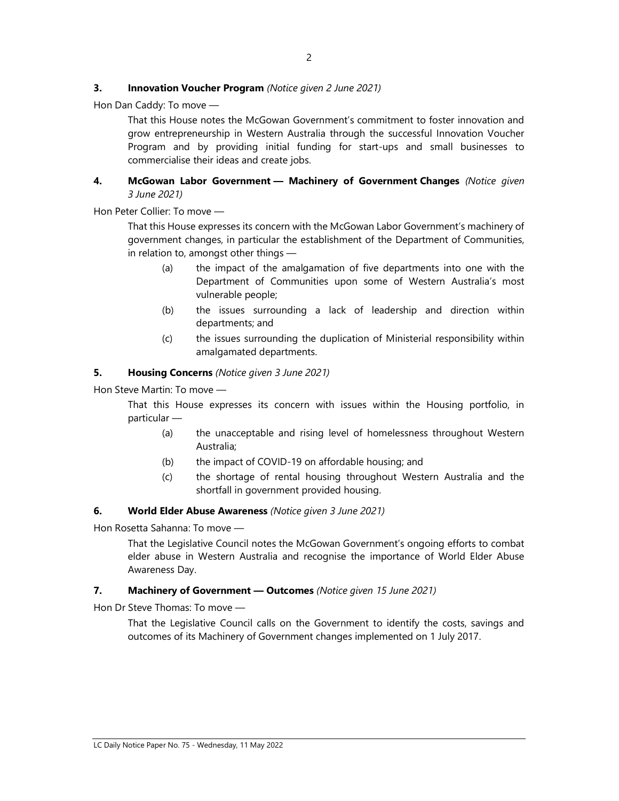#### **3. Innovation Voucher Program** (Notice given 2 June 2021)

Hon Dan Caddy: To move —

That this House notes the McGowan Government's commitment to foster innovation and grow entrepreneurship in Western Australia through the successful Innovation Voucher Program and by providing initial funding for start-ups and small businesses to commercialise their ideas and create jobs.

#### 4. McGowan Labor Government - Machinery of Government Changes (Notice given 3 June 2021)

Hon Peter Collier: To move —

That this House expresses its concern with the McGowan Labor Government's machinery of government changes, in particular the establishment of the Department of Communities, in relation to, amongst other things —

- (a) the impact of the amalgamation of five departments into one with the Department of Communities upon some of Western Australia's most vulnerable people;
- (b) the issues surrounding a lack of leadership and direction within departments; and
- (c) the issues surrounding the duplication of Ministerial responsibility within amalgamated departments.

#### 5. Housing Concerns (Notice given 3 June 2021)

Hon Steve Martin: To move —

That this House expresses its concern with issues within the Housing portfolio, in particular —

- (a) the unacceptable and rising level of homelessness throughout Western Australia;
- (b) the impact of COVID-19 on affordable housing; and
- (c) the shortage of rental housing throughout Western Australia and the shortfall in government provided housing.

#### 6. World Elder Abuse Awareness (Notice given 3 June 2021)

Hon Rosetta Sahanna: To move —

That the Legislative Council notes the McGowan Government's ongoing efforts to combat elder abuse in Western Australia and recognise the importance of World Elder Abuse Awareness Day.

#### 7. Machinery of Government - Outcomes (Notice given 15 June 2021)

Hon Dr Steve Thomas: To move —

That the Legislative Council calls on the Government to identify the costs, savings and outcomes of its Machinery of Government changes implemented on 1 July 2017.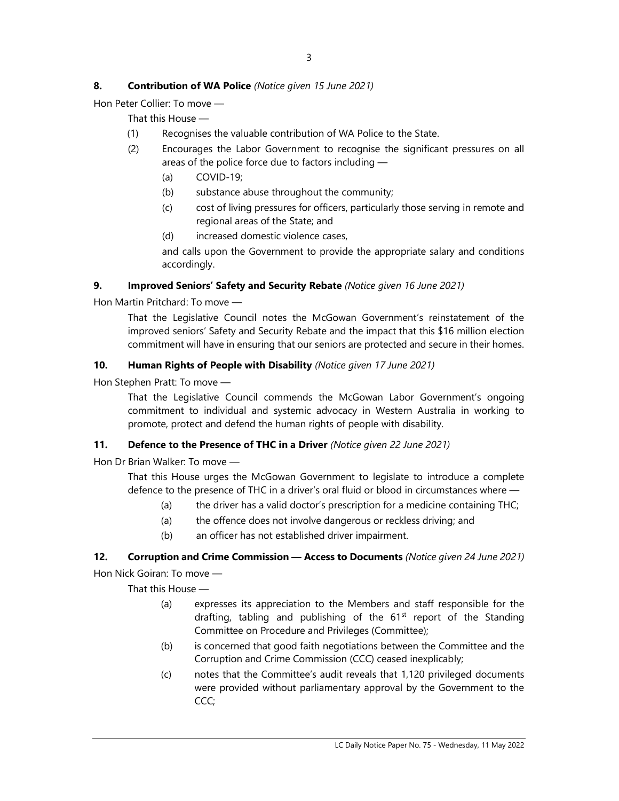## 8. Contribution of WA Police (Notice given 15 June 2021)

Hon Peter Collier: To move —

That this House —

- (1) Recognises the valuable contribution of WA Police to the State.
- (2) Encourages the Labor Government to recognise the significant pressures on all areas of the police force due to factors including —
	- (a) COVID-19;
	- (b) substance abuse throughout the community;
	- (c) cost of living pressures for officers, particularly those serving in remote and regional areas of the State; and
	- (d) increased domestic violence cases,

and calls upon the Government to provide the appropriate salary and conditions accordingly.

#### 9. Improved Seniors' Safety and Security Rebate (Notice given 16 June 2021)

Hon Martin Pritchard: To move —

That the Legislative Council notes the McGowan Government's reinstatement of the improved seniors' Safety and Security Rebate and the impact that this \$16 million election commitment will have in ensuring that our seniors are protected and secure in their homes.

#### 10. Human Rights of People with Disability (Notice given 17 June 2021)

Hon Stephen Pratt: To move —

That the Legislative Council commends the McGowan Labor Government's ongoing commitment to individual and systemic advocacy in Western Australia in working to promote, protect and defend the human rights of people with disability.

## 11. Defence to the Presence of THC in a Driver (Notice given 22 June 2021)

Hon Dr Brian Walker: To move —

That this House urges the McGowan Government to legislate to introduce a complete defence to the presence of THC in a driver's oral fluid or blood in circumstances where —

- (a) the driver has a valid doctor's prescription for a medicine containing THC;
- (a) the offence does not involve dangerous or reckless driving; and
- (b) an officer has not established driver impairment.

#### 12. Corruption and Crime Commission - Access to Documents (Notice given 24 June 2021)

Hon Nick Goiran: To move —

That this House —

- (a) expresses its appreciation to the Members and staff responsible for the drafting, tabling and publishing of the  $61<sup>st</sup>$  report of the Standing Committee on Procedure and Privileges (Committee);
- (b) is concerned that good faith negotiations between the Committee and the Corruption and Crime Commission (CCC) ceased inexplicably;
- (c) notes that the Committee's audit reveals that 1,120 privileged documents were provided without parliamentary approval by the Government to the CCC;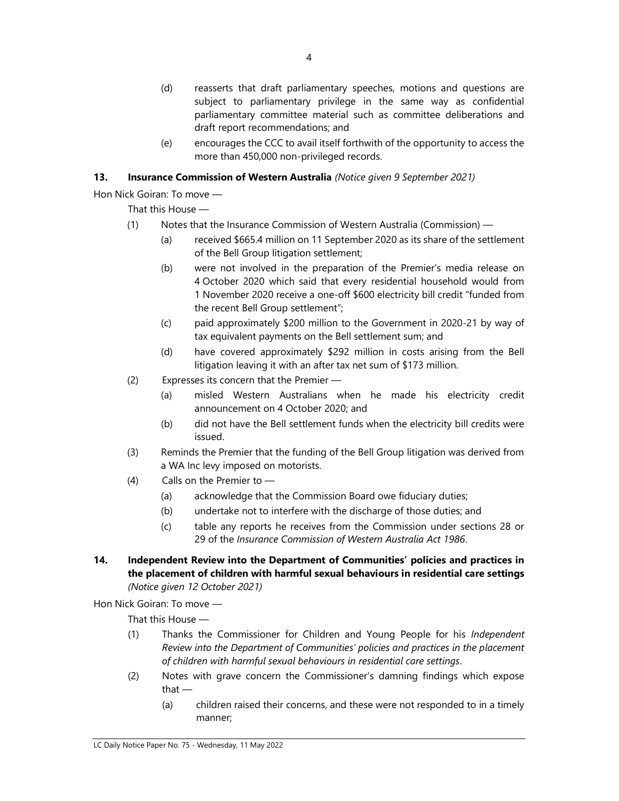- (d) reasserts that draft parliamentary speeches, motions and questions are subject to parliamentary privilege in the same way as confidential parliamentary committee material such as committee deliberations and draft report recommendations; and
- (e) encourages the CCC to avail itself forthwith of the opportunity to access the more than 450,000 non-privileged records.

## 13. Insurance Commission of Western Australia (Notice given 9 September 2021)

Hon Nick Goiran: To move —

That this House —

- (1) Notes that the Insurance Commission of Western Australia (Commission)
	- (a) received \$665.4 million on 11 September 2020 as its share of the settlement of the Bell Group litigation settlement;
	- (b) were not involved in the preparation of the Premier's media release on 4 October 2020 which said that every residential household would from 1 November 2020 receive a one-off \$600 electricity bill credit "funded from the recent Bell Group settlement";
	- (c) paid approximately \$200 million to the Government in 2020-21 by way of tax equivalent payments on the Bell settlement sum; and
	- (d) have covered approximately \$292 million in costs arising from the Bell litigation leaving it with an after tax net sum of \$173 million.
- (2) Expresses its concern that the Premier
	- (a) misled Western Australians when he made his electricity credit announcement on 4 October 2020; and
	- (b) did not have the Bell settlement funds when the electricity bill credits were issued.
- (3) Reminds the Premier that the funding of the Bell Group litigation was derived from a WA Inc levy imposed on motorists.
- (4) Calls on the Premier to
	- (a) acknowledge that the Commission Board owe fiduciary duties;
	- (b) undertake not to interfere with the discharge of those duties; and
	- (c) table any reports he receives from the Commission under sections 28 or 29 of the Insurance Commission of Western Australia Act 1986.
- 14. Independent Review into the Department of Communities' policies and practices in the placement of children with harmful sexual behaviours in residential care settings (Notice given 12 October 2021)

Hon Nick Goiran: To move —

That this House —

- (1) Thanks the Commissioner for Children and Young People for his Independent Review into the Department of Communities' policies and practices in the placement of children with harmful sexual behaviours in residential care settings.
- (2) Notes with grave concern the Commissioner's damning findings which expose that —
	- (a) children raised their concerns, and these were not responded to in a timely manner;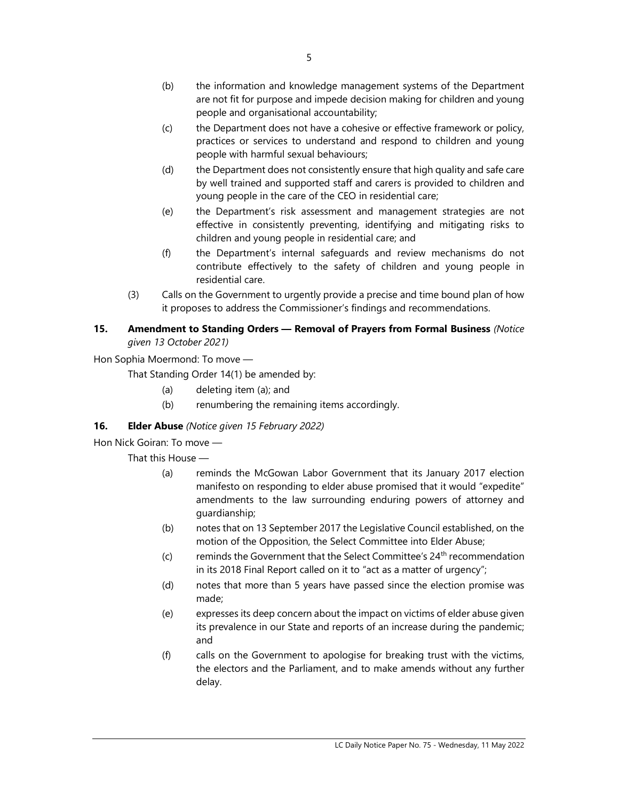- (c) the Department does not have a cohesive or effective framework or policy, practices or services to understand and respond to children and young people with harmful sexual behaviours;
- (d) the Department does not consistently ensure that high quality and safe care by well trained and supported staff and carers is provided to children and young people in the care of the CEO in residential care;
- (e) the Department's risk assessment and management strategies are not effective in consistently preventing, identifying and mitigating risks to children and young people in residential care; and
- (f) the Department's internal safeguards and review mechanisms do not contribute effectively to the safety of children and young people in residential care.
- (3) Calls on the Government to urgently provide a precise and time bound plan of how it proposes to address the Commissioner's findings and recommendations.

## 15. Amendment to Standing Orders - Removal of Prayers from Formal Business (Notice given 13 October 2021)

Hon Sophia Moermond: To move —

That Standing Order 14(1) be amended by:

- (a) deleting item (a); and
- (b) renumbering the remaining items accordingly.

# 16. **Elder Abuse** (Notice given 15 February 2022)

Hon Nick Goiran: To move —

That this House —

- (a) reminds the McGowan Labor Government that its January 2017 election manifesto on responding to elder abuse promised that it would "expedite" amendments to the law surrounding enduring powers of attorney and guardianship;
- (b) notes that on 13 September 2017 the Legislative Council established, on the motion of the Opposition, the Select Committee into Elder Abuse;
- (c) reminds the Government that the Select Committee's  $24<sup>th</sup>$  recommendation in its 2018 Final Report called on it to "act as a matter of urgency";
- (d) notes that more than 5 years have passed since the election promise was made;
- (e) expresses its deep concern about the impact on victims of elder abuse given its prevalence in our State and reports of an increase during the pandemic; and
- (f) calls on the Government to apologise for breaking trust with the victims, the electors and the Parliament, and to make amends without any further delay.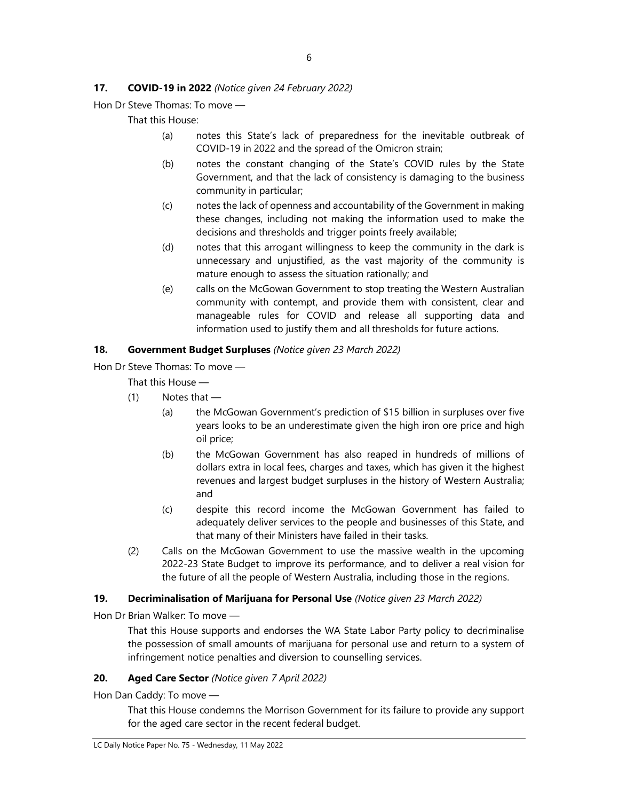### 17. **COVID-19 in 2022** (Notice given 24 February 2022)

Hon Dr Steve Thomas: To move —

That this House:

- (a) notes this State's lack of preparedness for the inevitable outbreak of COVID-19 in 2022 and the spread of the Omicron strain;
- (b) notes the constant changing of the State's COVID rules by the State Government, and that the lack of consistency is damaging to the business community in particular;
- (c) notes the lack of openness and accountability of the Government in making these changes, including not making the information used to make the decisions and thresholds and trigger points freely available;
- (d) notes that this arrogant willingness to keep the community in the dark is unnecessary and unjustified, as the vast majority of the community is mature enough to assess the situation rationally; and
- (e) calls on the McGowan Government to stop treating the Western Australian community with contempt, and provide them with consistent, clear and manageable rules for COVID and release all supporting data and information used to justify them and all thresholds for future actions.

#### 18. Government Budget Surpluses (Notice given 23 March 2022)

Hon Dr Steve Thomas: To move —

That this House —

- $(1)$  Notes that
	- (a) the McGowan Government's prediction of \$15 billion in surpluses over five years looks to be an underestimate given the high iron ore price and high oil price;
	- (b) the McGowan Government has also reaped in hundreds of millions of dollars extra in local fees, charges and taxes, which has given it the highest revenues and largest budget surpluses in the history of Western Australia; and
	- (c) despite this record income the McGowan Government has failed to adequately deliver services to the people and businesses of this State, and that many of their Ministers have failed in their tasks.
- (2) Calls on the McGowan Government to use the massive wealth in the upcoming 2022-23 State Budget to improve its performance, and to deliver a real vision for the future of all the people of Western Australia, including those in the regions.

#### 19. Decriminalisation of Marijuana for Personal Use (Notice given 23 March 2022)

Hon Dr Brian Walker: To move —

That this House supports and endorses the WA State Labor Party policy to decriminalise the possession of small amounts of marijuana for personal use and return to a system of infringement notice penalties and diversion to counselling services.

## 20. Aged Care Sector (Notice given 7 April 2022)

Hon Dan Caddy: To move —

That this House condemns the Morrison Government for its failure to provide any support for the aged care sector in the recent federal budget.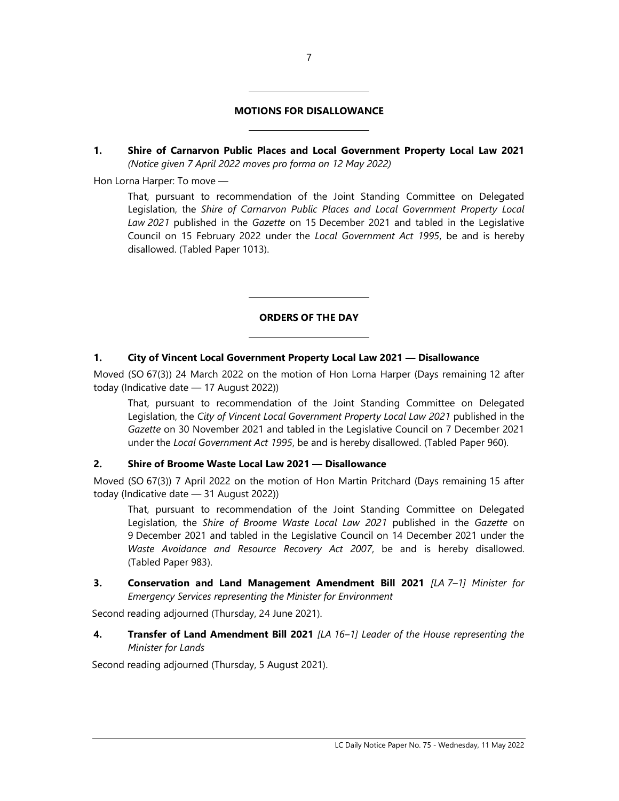#### MOTIONS FOR DISALLOWANCE

L

 $\overline{a}$ 

L

L

1. Shire of Carnarvon Public Places and Local Government Property Local Law 2021 (Notice given 7 April 2022 moves pro forma on 12 May 2022)

Hon Lorna Harper: To move —

That, pursuant to recommendation of the Joint Standing Committee on Delegated Legislation, the Shire of Carnarvon Public Places and Local Government Property Local Law 2021 published in the Gazette on 15 December 2021 and tabled in the Legislative Council on 15 February 2022 under the Local Government Act 1995, be and is hereby disallowed. (Tabled Paper 1013).

### ORDERS OF THE DAY

#### 1. City of Vincent Local Government Property Local Law 2021 — Disallowance

Moved (SO 67(3)) 24 March 2022 on the motion of Hon Lorna Harper (Days remaining 12 after today (Indicative date — 17 August 2022))

That, pursuant to recommendation of the Joint Standing Committee on Delegated Legislation, the City of Vincent Local Government Property Local Law 2021 published in the Gazette on 30 November 2021 and tabled in the Legislative Council on 7 December 2021 under the Local Government Act 1995, be and is hereby disallowed. (Tabled Paper 960).

#### 2. Shire of Broome Waste Local Law 2021 — Disallowance

Moved (SO 67(3)) 7 April 2022 on the motion of Hon Martin Pritchard (Days remaining 15 after today (Indicative date — 31 August 2022))

That, pursuant to recommendation of the Joint Standing Committee on Delegated Legislation, the Shire of Broome Waste Local Law 2021 published in the Gazette on 9 December 2021 and tabled in the Legislative Council on 14 December 2021 under the Waste Avoidance and Resource Recovery Act 2007, be and is hereby disallowed. (Tabled Paper 983).

3. Conservation and Land Management Amendment Bill 2021 [LA 7-1] Minister for Emergency Services representing the Minister for Environment

Second reading adjourned (Thursday, 24 June 2021).

4. Transfer of Land Amendment Bill 2021 [LA 16-1] Leader of the House representing the Minister for Lands

Second reading adjourned (Thursday, 5 August 2021).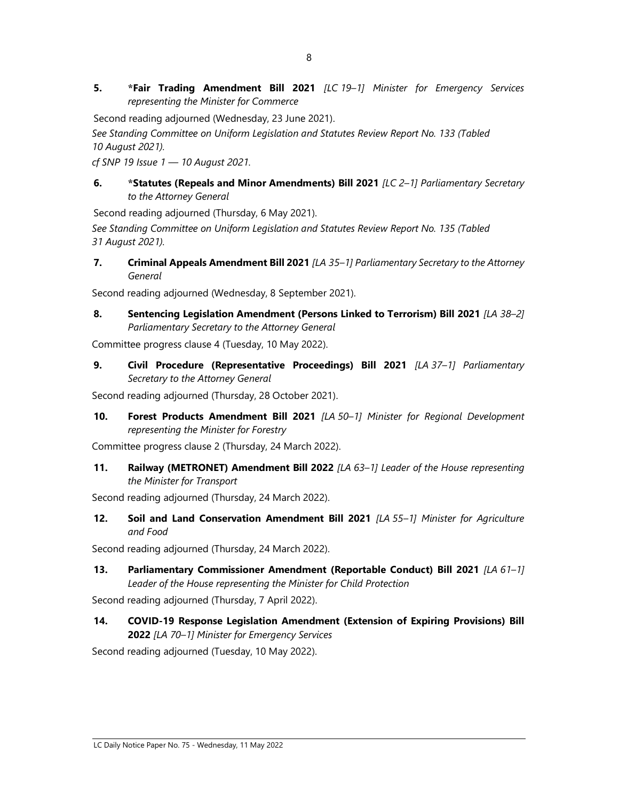5. \*Fair Trading Amendment Bill 2021 [LC 19-1] Minister for Emergency Services representing the Minister for Commerce

Second reading adjourned (Wednesday, 23 June 2021).

See Standing Committee on Uniform Legislation and Statutes Review Report No. 133 (Tabled 10 August 2021).

cf SNP 19 Issue 1 — 10 August 2021.

#### 6. \* Statutes (Repeals and Minor Amendments) Bill 2021 [LC 2-1] Parliamentary Secretary to the Attorney General

Second reading adjourned (Thursday, 6 May 2021).

See Standing Committee on Uniform Legislation and Statutes Review Report No. 135 (Tabled 31 August 2021).

7. Criminal Appeals Amendment Bill 2021 [LA 35-1] Parliamentary Secretary to the Attorney General

Second reading adjourned (Wednesday, 8 September 2021).

8. Sentencing Legislation Amendment (Persons Linked to Terrorism) Bill 2021 [LA 38-2] Parliamentary Secretary to the Attorney General

Committee progress clause 4 (Tuesday, 10 May 2022).

9. Civil Procedure (Representative Proceedings) Bill 2021 [LA 37-1] Parliamentary Secretary to the Attorney General

Second reading adjourned (Thursday, 28 October 2021).

10. Forest Products Amendment Bill 2021 [LA 50-1] Minister for Regional Development representing the Minister for Forestry

Committee progress clause 2 (Thursday, 24 March 2022).

11. Railway (METRONET) Amendment Bill 2022 [LA 63-1] Leader of the House representing the Minister for Transport

Second reading adjourned (Thursday, 24 March 2022).

12. Soil and Land Conservation Amendment Bill 2021 [LA 55-1] Minister for Agriculture and Food

Second reading adjourned (Thursday, 24 March 2022).

13. Parliamentary Commissioner Amendment (Reportable Conduct) Bill 2021 [LA 61-1] Leader of the House representing the Minister for Child Protection

Second reading adjourned (Thursday, 7 April 2022).

14. COVID-19 Response Legislation Amendment (Extension of Expiring Provisions) Bill 2022 [LA 70–1] Minister for Emergency Services

Second reading adjourned (Tuesday, 10 May 2022).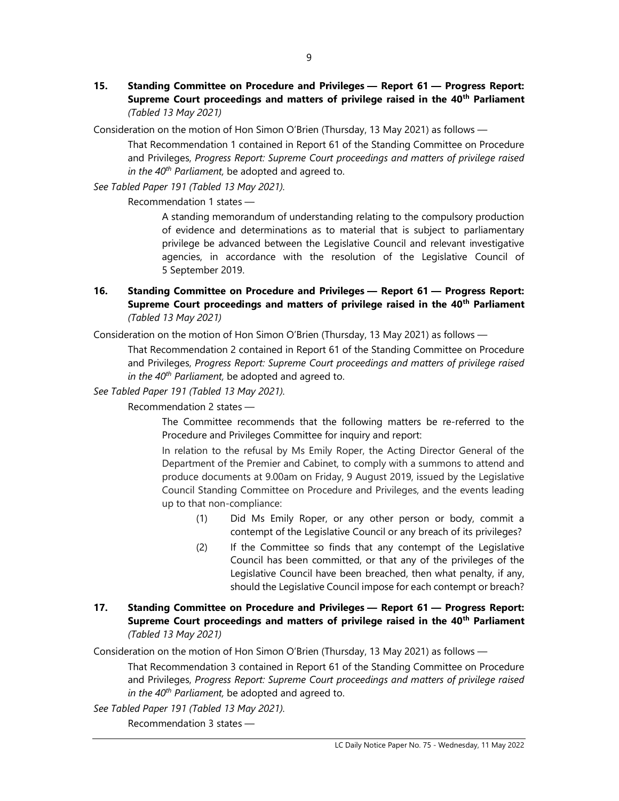15. Standing Committee on Procedure and Privileges — Report 61 — Progress Report: Supreme Court proceedings and matters of privilege raised in the 40<sup>th</sup> Parliament (Tabled 13 May 2021)

Consideration on the motion of Hon Simon O'Brien (Thursday, 13 May 2021) as follows —

That Recommendation 1 contained in Report 61 of the Standing Committee on Procedure and Privileges, Progress Report: Supreme Court proceedings and matters of privilege raised in the  $40^{th}$  Parliament, be adopted and agreed to.

See Tabled Paper 191 (Tabled 13 May 2021).

Recommendation 1 states —

A standing memorandum of understanding relating to the compulsory production of evidence and determinations as to material that is subject to parliamentary privilege be advanced between the Legislative Council and relevant investigative agencies, in accordance with the resolution of the Legislative Council of 5 September 2019.

### 16. Standing Committee on Procedure and Privileges — Report 61 — Progress Report: Supreme Court proceedings and matters of privilege raised in the 40<sup>th</sup> Parliament (Tabled 13 May 2021)

Consideration on the motion of Hon Simon O'Brien (Thursday, 13 May 2021) as follows —

That Recommendation 2 contained in Report 61 of the Standing Committee on Procedure and Privileges, Progress Report: Supreme Court proceedings and matters of privilege raised in the  $40^{th}$  Parliament, be adopted and agreed to.

See Tabled Paper 191 (Tabled 13 May 2021).

Recommendation 2 states —

The Committee recommends that the following matters be re-referred to the Procedure and Privileges Committee for inquiry and report:

In relation to the refusal by Ms Emily Roper, the Acting Director General of the Department of the Premier and Cabinet, to comply with a summons to attend and produce documents at 9.00am on Friday, 9 August 2019, issued by the Legislative Council Standing Committee on Procedure and Privileges, and the events leading up to that non-compliance:

- (1) Did Ms Emily Roper, or any other person or body, commit a contempt of the Legislative Council or any breach of its privileges?
- (2) If the Committee so finds that any contempt of the Legislative Council has been committed, or that any of the privileges of the Legislative Council have been breached, then what penalty, if any, should the Legislative Council impose for each contempt or breach?
- 17. Standing Committee on Procedure and Privileges Report 61 Progress Report: Supreme Court proceedings and matters of privilege raised in the 40<sup>th</sup> Parliament (Tabled 13 May 2021)

Consideration on the motion of Hon Simon O'Brien (Thursday, 13 May 2021) as follows —

That Recommendation 3 contained in Report 61 of the Standing Committee on Procedure and Privileges, Progress Report: Supreme Court proceedings and matters of privilege raised in the  $40^{th}$  Parliament, be adopted and agreed to.

See Tabled Paper 191 (Tabled 13 May 2021).

Recommendation 3 states —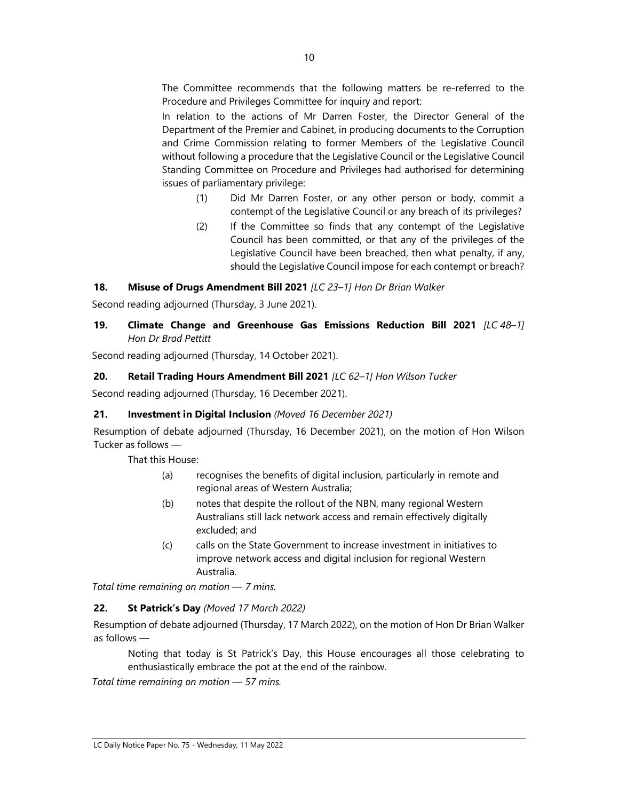The Committee recommends that the following matters be re-referred to the Procedure and Privileges Committee for inquiry and report:

In relation to the actions of Mr Darren Foster, the Director General of the Department of the Premier and Cabinet, in producing documents to the Corruption and Crime Commission relating to former Members of the Legislative Council without following a procedure that the Legislative Council or the Legislative Council Standing Committee on Procedure and Privileges had authorised for determining issues of parliamentary privilege:

- (1) Did Mr Darren Foster, or any other person or body, commit a contempt of the Legislative Council or any breach of its privileges?
- (2) If the Committee so finds that any contempt of the Legislative Council has been committed, or that any of the privileges of the Legislative Council have been breached, then what penalty, if any, should the Legislative Council impose for each contempt or breach?

## 18. Misuse of Drugs Amendment Bill 2021 [LC 23-1] Hon Dr Brian Walker

Second reading adjourned (Thursday, 3 June 2021).

## 19. Climate Change and Greenhouse Gas Emissions Reduction Bill 2021 [LC 48-1] Hon Dr Brad Pettitt

Second reading adjourned (Thursday, 14 October 2021).

## 20. Retail Trading Hours Amendment Bill 2021 [LC 62-1] Hon Wilson Tucker

Second reading adjourned (Thursday, 16 December 2021).

## 21. Investment in Digital Inclusion (Moved 16 December 2021)

Resumption of debate adjourned (Thursday, 16 December 2021), on the motion of Hon Wilson Tucker as follows —

That this House:

- (a) recognises the benefits of digital inclusion, particularly in remote and regional areas of Western Australia;
- (b) notes that despite the rollout of the NBN, many regional Western Australians still lack network access and remain effectively digitally excluded; and
- (c) calls on the State Government to increase investment in initiatives to improve network access and digital inclusion for regional Western Australia.

Total time remaining on motion — 7 mins.

## 22. St Patrick's Day (Moved 17 March 2022)

Resumption of debate adjourned (Thursday, 17 March 2022), on the motion of Hon Dr Brian Walker as follows —

Noting that today is St Patrick's Day, this House encourages all those celebrating to enthusiastically embrace the pot at the end of the rainbow.

Total time remaining on motion — 57 mins.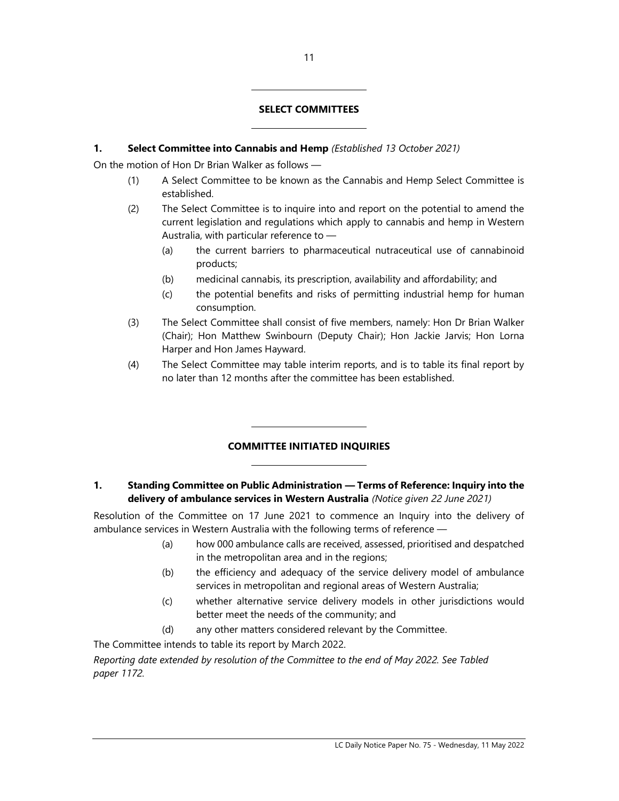#### SELECT COMMITTEES

#### 1. Select Committee into Cannabis and Hemp (Established 13 October 2021)

l

 $\overline{\phantom{a}}$ 

 $\overline{\phantom{a}}$ 

 $\overline{a}$ 

On the motion of Hon Dr Brian Walker as follows —

- (1) A Select Committee to be known as the Cannabis and Hemp Select Committee is established.
- (2) The Select Committee is to inquire into and report on the potential to amend the current legislation and regulations which apply to cannabis and hemp in Western Australia, with particular reference to —
	- (a) the current barriers to pharmaceutical nutraceutical use of cannabinoid products;
	- (b) medicinal cannabis, its prescription, availability and affordability; and
	- (c) the potential benefits and risks of permitting industrial hemp for human consumption.
- (3) The Select Committee shall consist of five members, namely: Hon Dr Brian Walker (Chair); Hon Matthew Swinbourn (Deputy Chair); Hon Jackie Jarvis; Hon Lorna Harper and Hon James Hayward.
- (4) The Select Committee may table interim reports, and is to table its final report by no later than 12 months after the committee has been established.

## COMMITTEE INITIATED INQUIRIES

#### 1. Standing Committee on Public Administration — Terms of Reference: Inquiry into the delivery of ambulance services in Western Australia (Notice given 22 June 2021)

Resolution of the Committee on 17 June 2021 to commence an Inquiry into the delivery of ambulance services in Western Australia with the following terms of reference —

- (a) how 000 ambulance calls are received, assessed, prioritised and despatched in the metropolitan area and in the regions;
- (b) the efficiency and adequacy of the service delivery model of ambulance services in metropolitan and regional areas of Western Australia;
- (c) whether alternative service delivery models in other jurisdictions would better meet the needs of the community; and
- (d) any other matters considered relevant by the Committee.

The Committee intends to table its report by March 2022.

Reporting date extended by resolution of the Committee to the end of May 2022. See Tabled paper 1172.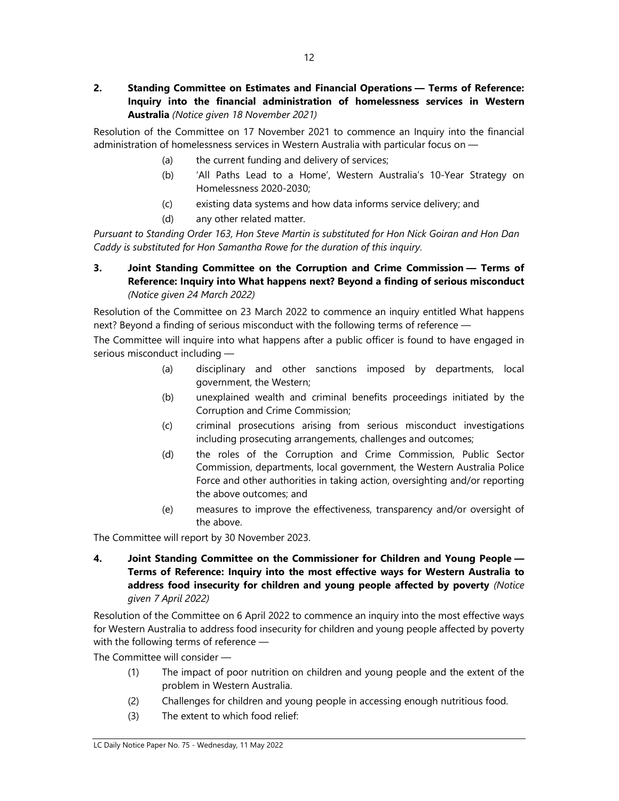Resolution of the Committee on 17 November 2021 to commence an Inquiry into the financial administration of homelessness services in Western Australia with particular focus on —

- (a) the current funding and delivery of services;
- (b) 'All Paths Lead to a Home', Western Australia's 10-Year Strategy on Homelessness 2020-2030;
- (c) existing data systems and how data informs service delivery; and
- (d) any other related matter.

Pursuant to Standing Order 163, Hon Steve Martin is substituted for Hon Nick Goiran and Hon Dan Caddy is substituted for Hon Samantha Rowe for the duration of this inquiry.

## 3. Joint Standing Committee on the Corruption and Crime Commission — Terms of Reference: Inquiry into What happens next? Beyond a finding of serious misconduct (Notice given 24 March 2022)

Resolution of the Committee on 23 March 2022 to commence an inquiry entitled What happens next? Beyond a finding of serious misconduct with the following terms of reference —

The Committee will inquire into what happens after a public officer is found to have engaged in serious misconduct including —

- (a) disciplinary and other sanctions imposed by departments, local government, the Western;
- (b) unexplained wealth and criminal benefits proceedings initiated by the Corruption and Crime Commission;
- (c) criminal prosecutions arising from serious misconduct investigations including prosecuting arrangements, challenges and outcomes;
- (d) the roles of the Corruption and Crime Commission, Public Sector Commission, departments, local government, the Western Australia Police Force and other authorities in taking action, oversighting and/or reporting the above outcomes; and
- (e) measures to improve the effectiveness, transparency and/or oversight of the above.

The Committee will report by 30 November 2023.

4. Joint Standing Committee on the Commissioner for Children and Young People — Terms of Reference: Inquiry into the most effective ways for Western Australia to address food insecurity for children and young people affected by poverty (Notice given 7 April 2022)

Resolution of the Committee on 6 April 2022 to commence an inquiry into the most effective ways for Western Australia to address food insecurity for children and young people affected by poverty with the following terms of reference —

The Committee will consider —

- (1) The impact of poor nutrition on children and young people and the extent of the problem in Western Australia.
- (2) Challenges for children and young people in accessing enough nutritious food.
- (3) The extent to which food relief: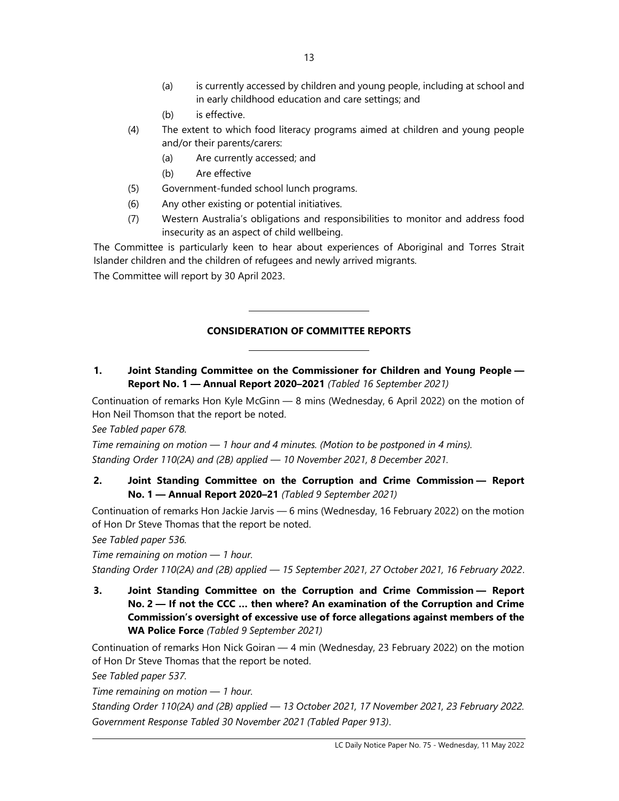- (a) is currently accessed by children and young people, including at school and in early childhood education and care settings; and
- (b) is effective.
- (4) The extent to which food literacy programs aimed at children and young people and/or their parents/carers:
	- (a) Are currently accessed; and
	- (b) Are effective
- (5) Government-funded school lunch programs.

L

L

- (6) Any other existing or potential initiatives.
- (7) Western Australia's obligations and responsibilities to monitor and address food insecurity as an aspect of child wellbeing.

The Committee is particularly keen to hear about experiences of Aboriginal and Torres Strait Islander children and the children of refugees and newly arrived migrants.

The Committee will report by 30 April 2023.

#### CONSIDERATION OF COMMITTEE REPORTS

1. Joint Standing Committee on the Commissioner for Children and Young People — Report No. 1 — Annual Report 2020–2021 (Tabled 16 September 2021)

Continuation of remarks Hon Kyle McGinn — 8 mins (Wednesday, 6 April 2022) on the motion of Hon Neil Thomson that the report be noted.

See Tabled paper 678.

Time remaining on motion  $-1$  hour and 4 minutes. (Motion to be postponed in 4 mins). Standing Order 110(2A) and (2B) applied — 10 November 2021, 8 December 2021.

## 2. Joint Standing Committee on the Corruption and Crime Commission — Report No. 1 — Annual Report 2020–21 (Tabled 9 September 2021)

Continuation of remarks Hon Jackie Jarvis — 6 mins (Wednesday, 16 February 2022) on the motion of Hon Dr Steve Thomas that the report be noted.

See Tabled paper 536.

Time remaining on motion — 1 hour.

Standing Order 110(2A) and (2B) applied — 15 September 2021, 27 October 2021, 16 February 2022.

3. Joint Standing Committee on the Corruption and Crime Commission — Report No. 2 — If not the CCC … then where? An examination of the Corruption and Crime Commission's oversight of excessive use of force allegations against members of the WA Police Force (Tabled 9 September 2021)

Continuation of remarks Hon Nick Goiran — 4 min (Wednesday, 23 February 2022) on the motion of Hon Dr Steve Thomas that the report be noted.

See Tabled paper 537.

Time remaining on motion — 1 hour.

Standing Order 110(2A) and (2B) applied — 13 October 2021, 17 November 2021, 23 February 2022. Government Response Tabled 30 November 2021 (Tabled Paper 913).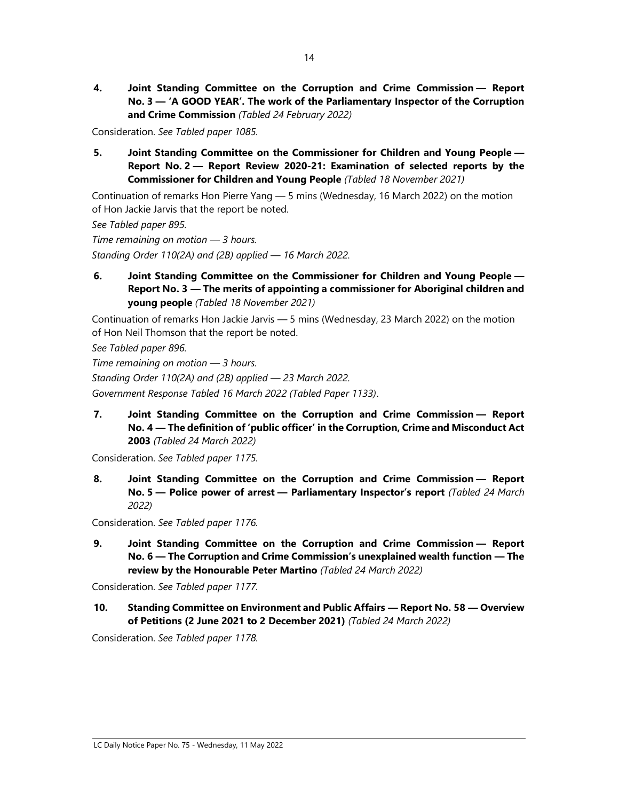4. Joint Standing Committee on the Corruption and Crime Commission — Report No. 3 — 'A GOOD YEAR'. The work of the Parliamentary Inspector of the Corruption and Crime Commission (Tabled 24 February 2022)

Consideration. See Tabled paper 1085.

5. Joint Standing Committee on the Commissioner for Children and Young People — Report No. 2 — Report Review 2020-21: Examination of selected reports by the Commissioner for Children and Young People (Tabled 18 November 2021)

Continuation of remarks Hon Pierre Yang — 5 mins (Wednesday, 16 March 2022) on the motion of Hon Jackie Jarvis that the report be noted.

See Tabled paper 895.

Time remaining on motion  $-$  3 hours. Standing Order 110(2A) and (2B) applied — 16 March 2022.

6. Joint Standing Committee on the Commissioner for Children and Young People — Report No. 3 — The merits of appointing a commissioner for Aboriginal children and young people (Tabled 18 November 2021)

Continuation of remarks Hon Jackie Jarvis — 5 mins (Wednesday, 23 March 2022) on the motion of Hon Neil Thomson that the report be noted.

See Tabled paper 896.

Time remaining on motion  $-$  3 hours. Standing Order 110(2A) and (2B) applied — 23 March 2022. Government Response Tabled 16 March 2022 (Tabled Paper 1133).

7. Joint Standing Committee on the Corruption and Crime Commission — Report No. 4 — The definition of 'public officer' in the Corruption, Crime and Misconduct Act 2003 (Tabled 24 March 2022)

Consideration. See Tabled paper 1175.

8. Joint Standing Committee on the Corruption and Crime Commission — Report No. 5 — Police power of arrest — Parliamentary Inspector's report (Tabled 24 March 2022)

Consideration. See Tabled paper 1176.

9. Joint Standing Committee on the Corruption and Crime Commission - Report No. 6 — The Corruption and Crime Commission's unexplained wealth function — The review by the Honourable Peter Martino (Tabled 24 March 2022)

Consideration. See Tabled paper 1177.

10. Standing Committee on Environment and Public Affairs — Report No. 58 — Overview of Petitions (2 June 2021 to 2 December 2021) (Tabled 24 March 2022)

Consideration. See Tabled paper 1178.